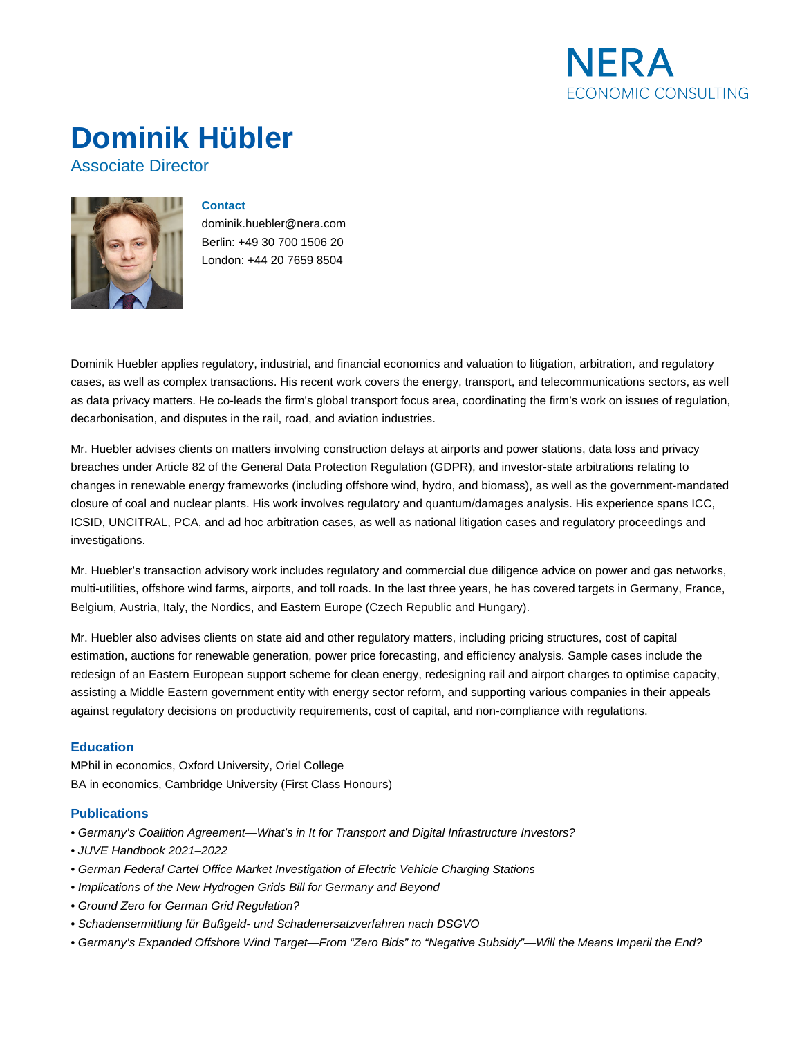

# **Dominik Hübler**

## Associate Director



## **Contact**

dominik.huebler@nera.com Berlin: +49 30 700 1506 20 London: +44 20 7659 8504

Dominik Huebler applies regulatory, industrial, and financial economics and valuation to litigation, arbitration, and regulatory cases, as well as complex transactions. His recent work covers the energy, transport, and telecommunications sectors, as well as data privacy matters. He co-leads the firm's global transport focus area, coordinating the firm's work on issues of regulation, decarbonisation, and disputes in the rail, road, and aviation industries.

Mr. Huebler advises clients on matters involving construction delays at airports and power stations, data loss and privacy breaches under Article 82 of the General Data Protection Regulation (GDPR), and investor-state arbitrations relating to changes in renewable energy frameworks (including offshore wind, hydro, and biomass), as well as the government-mandated closure of coal and nuclear plants. His work involves regulatory and quantum/damages analysis. His experience spans ICC, ICSID, UNCITRAL, PCA, and ad hoc arbitration cases, as well as national litigation cases and regulatory proceedings and investigations.

Mr. Huebler's transaction advisory work includes regulatory and commercial due diligence advice on power and gas networks, multi-utilities, offshore wind farms, airports, and toll roads. In the last three years, he has covered targets in Germany, France, Belgium, Austria, Italy, the Nordics, and Eastern Europe (Czech Republic and Hungary).

Mr. Huebler also advises clients on state aid and other regulatory matters, including pricing structures, cost of capital estimation, auctions for renewable generation, power price forecasting, and efficiency analysis. Sample cases include the redesign of an Eastern European support scheme for clean energy, redesigning rail and airport charges to optimise capacity, assisting a Middle Eastern government entity with energy sector reform, and supporting various companies in their appeals against regulatory decisions on productivity requirements, cost of capital, and non-compliance with regulations.

## **Education**

MPhil in economics, Oxford University, Oriel College BA in economics, Cambridge University (First Class Honours)

## **Publications**

- Germany's Coalition Agreement—What's in It for Transport and Digital Infrastructure Investors?
- JUVE Handbook 2021–2022
- German Federal Cartel Office Market Investigation of Electric Vehicle Charging Stations
- Implications of the New Hydrogen Grids Bill for Germany and Beyond
- Ground Zero for German Grid Regulation?
- Schadensermittlung für Bußgeld- und Schadenersatzverfahren nach DSGVO
- Germany's Expanded Offshore Wind Target—From "Zero Bids" to "Negative Subsidy"—Will the Means Imperil the End?